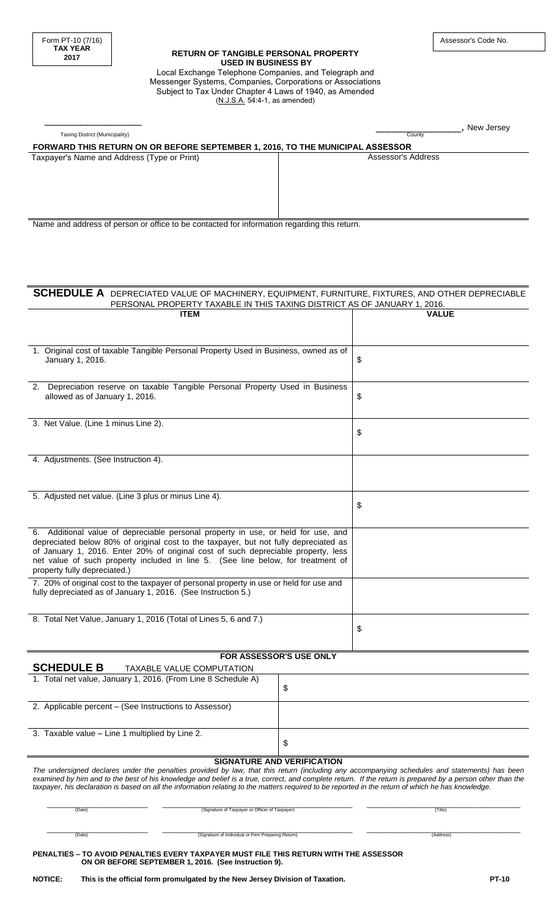\_\_\_\_\_\_\_\_\_\_\_\_\_\_\_\_

#### **RETURN OF TANGIBLE PERSONAL PROPERTY USED IN BUSINESS BY**  Local Exchange Telephone Companies, and Telegraph and Messenger Systems, Companies, Corporations or Associations Subject to Tax Under Chapter 4 Laws of 1940, as Amended (N.J.S.A. 54:4-1, as amended)

| Taxing District (Municipality)<br>County<br>FORWARD THIS RETURN ON OR BEFORE SEPTEMBER 1, 2016, TO THE MUNICIPAL ASSESSOR<br>Assessor's Address<br>Taxpayer's Name and Address (Type or Print)<br>Name and address of person or office to be contacted for information regarding this return.<br>SCHEDULE A DEPRECIATED VALUE OF MACHINERY, EQUIPMENT, FURNITURE, FIXTURES, AND OTHER DEPRECIABLE<br>PERSONAL PROPERTY TAXABLE IN THIS TAXING DISTRICT AS OF JANUARY 1, 2016.<br><b>VALUE</b><br><b>ITEM</b><br>1. Original cost of taxable Tangible Personal Property Used in Business, owned as of<br>January 1, 2016.<br>\$<br>2. Depreciation reserve on taxable Tangible Personal Property Used in Business<br>allowed as of January 1, 2016.<br>\$<br>3. Net Value. (Line 1 minus Line 2).<br>\$<br>4. Adjustments. (See Instruction 4).<br>5. Adjusted net value. (Line 3 plus or minus Line 4).<br>\$<br>6. Additional value of depreciable personal property in use, or held for use, and<br>depreciated below 80% of original cost to the taxpayer, but not fully depreciated as<br>of January 1, 2016. Enter 20% of original cost of such depreciable property, less<br>net value of such property included in line 5. (See line below, for treatment of<br>property fully depreciated.)<br>7. 20% of original cost to the taxpayer of personal property in use or held for use and<br>fully depreciated as of January 1, 2016. (See Instruction 5.)<br>8. Total Net Value, January 1, 2016 (Total of Lines 5, 6 and 7.)<br>\$<br>FOR ASSESSOR'S USE ONLY<br><b>SCHEDULE B</b><br><b>TAXABLE VALUE COMPUTATION</b><br>1. Total net value, January 1, 2016. (From Line 8 Schedule A)<br>\$<br>2. Applicable percent - (See Instructions to Assessor)<br>3. Taxable value - Line 1 multiplied by Line 2.<br>\$<br><b>SIGNATURE AND VERIFICATION</b><br>The undersigned declares under the penalties provided by law, that this return (including any accompanying schedules and statements) has been<br>examined by him and to the best of his knowledge and belief is a true, correct, and complete return. If the return is prepared by a person other than the<br>taxpayer, his declaration is based on all the information relating to the matters required to be reported in the return of which he has knowledge.<br>(Signature of Taxpayer or Officer of Taxpayer)<br>(Date)<br>(Title) |  |  | ., New Jersey |
|---------------------------------------------------------------------------------------------------------------------------------------------------------------------------------------------------------------------------------------------------------------------------------------------------------------------------------------------------------------------------------------------------------------------------------------------------------------------------------------------------------------------------------------------------------------------------------------------------------------------------------------------------------------------------------------------------------------------------------------------------------------------------------------------------------------------------------------------------------------------------------------------------------------------------------------------------------------------------------------------------------------------------------------------------------------------------------------------------------------------------------------------------------------------------------------------------------------------------------------------------------------------------------------------------------------------------------------------------------------------------------------------------------------------------------------------------------------------------------------------------------------------------------------------------------------------------------------------------------------------------------------------------------------------------------------------------------------------------------------------------------------------------------------------------------------------------------------------------------------------------------------------------------------------------------------------------------------------------------------------------------------------------------------------------------------------------------------------------------------------------------------------------------------------------------------------------------------------------------------------------------------------------------------------------------------------------------------------------------------------------------------------------------|--|--|---------------|
|                                                                                                                                                                                                                                                                                                                                                                                                                                                                                                                                                                                                                                                                                                                                                                                                                                                                                                                                                                                                                                                                                                                                                                                                                                                                                                                                                                                                                                                                                                                                                                                                                                                                                                                                                                                                                                                                                                                                                                                                                                                                                                                                                                                                                                                                                                                                                                                                         |  |  |               |
|                                                                                                                                                                                                                                                                                                                                                                                                                                                                                                                                                                                                                                                                                                                                                                                                                                                                                                                                                                                                                                                                                                                                                                                                                                                                                                                                                                                                                                                                                                                                                                                                                                                                                                                                                                                                                                                                                                                                                                                                                                                                                                                                                                                                                                                                                                                                                                                                         |  |  |               |
|                                                                                                                                                                                                                                                                                                                                                                                                                                                                                                                                                                                                                                                                                                                                                                                                                                                                                                                                                                                                                                                                                                                                                                                                                                                                                                                                                                                                                                                                                                                                                                                                                                                                                                                                                                                                                                                                                                                                                                                                                                                                                                                                                                                                                                                                                                                                                                                                         |  |  |               |
|                                                                                                                                                                                                                                                                                                                                                                                                                                                                                                                                                                                                                                                                                                                                                                                                                                                                                                                                                                                                                                                                                                                                                                                                                                                                                                                                                                                                                                                                                                                                                                                                                                                                                                                                                                                                                                                                                                                                                                                                                                                                                                                                                                                                                                                                                                                                                                                                         |  |  |               |
|                                                                                                                                                                                                                                                                                                                                                                                                                                                                                                                                                                                                                                                                                                                                                                                                                                                                                                                                                                                                                                                                                                                                                                                                                                                                                                                                                                                                                                                                                                                                                                                                                                                                                                                                                                                                                                                                                                                                                                                                                                                                                                                                                                                                                                                                                                                                                                                                         |  |  |               |
|                                                                                                                                                                                                                                                                                                                                                                                                                                                                                                                                                                                                                                                                                                                                                                                                                                                                                                                                                                                                                                                                                                                                                                                                                                                                                                                                                                                                                                                                                                                                                                                                                                                                                                                                                                                                                                                                                                                                                                                                                                                                                                                                                                                                                                                                                                                                                                                                         |  |  |               |
|                                                                                                                                                                                                                                                                                                                                                                                                                                                                                                                                                                                                                                                                                                                                                                                                                                                                                                                                                                                                                                                                                                                                                                                                                                                                                                                                                                                                                                                                                                                                                                                                                                                                                                                                                                                                                                                                                                                                                                                                                                                                                                                                                                                                                                                                                                                                                                                                         |  |  |               |
|                                                                                                                                                                                                                                                                                                                                                                                                                                                                                                                                                                                                                                                                                                                                                                                                                                                                                                                                                                                                                                                                                                                                                                                                                                                                                                                                                                                                                                                                                                                                                                                                                                                                                                                                                                                                                                                                                                                                                                                                                                                                                                                                                                                                                                                                                                                                                                                                         |  |  |               |
|                                                                                                                                                                                                                                                                                                                                                                                                                                                                                                                                                                                                                                                                                                                                                                                                                                                                                                                                                                                                                                                                                                                                                                                                                                                                                                                                                                                                                                                                                                                                                                                                                                                                                                                                                                                                                                                                                                                                                                                                                                                                                                                                                                                                                                                                                                                                                                                                         |  |  |               |
|                                                                                                                                                                                                                                                                                                                                                                                                                                                                                                                                                                                                                                                                                                                                                                                                                                                                                                                                                                                                                                                                                                                                                                                                                                                                                                                                                                                                                                                                                                                                                                                                                                                                                                                                                                                                                                                                                                                                                                                                                                                                                                                                                                                                                                                                                                                                                                                                         |  |  |               |
|                                                                                                                                                                                                                                                                                                                                                                                                                                                                                                                                                                                                                                                                                                                                                                                                                                                                                                                                                                                                                                                                                                                                                                                                                                                                                                                                                                                                                                                                                                                                                                                                                                                                                                                                                                                                                                                                                                                                                                                                                                                                                                                                                                                                                                                                                                                                                                                                         |  |  |               |
|                                                                                                                                                                                                                                                                                                                                                                                                                                                                                                                                                                                                                                                                                                                                                                                                                                                                                                                                                                                                                                                                                                                                                                                                                                                                                                                                                                                                                                                                                                                                                                                                                                                                                                                                                                                                                                                                                                                                                                                                                                                                                                                                                                                                                                                                                                                                                                                                         |  |  |               |
|                                                                                                                                                                                                                                                                                                                                                                                                                                                                                                                                                                                                                                                                                                                                                                                                                                                                                                                                                                                                                                                                                                                                                                                                                                                                                                                                                                                                                                                                                                                                                                                                                                                                                                                                                                                                                                                                                                                                                                                                                                                                                                                                                                                                                                                                                                                                                                                                         |  |  |               |
|                                                                                                                                                                                                                                                                                                                                                                                                                                                                                                                                                                                                                                                                                                                                                                                                                                                                                                                                                                                                                                                                                                                                                                                                                                                                                                                                                                                                                                                                                                                                                                                                                                                                                                                                                                                                                                                                                                                                                                                                                                                                                                                                                                                                                                                                                                                                                                                                         |  |  |               |
|                                                                                                                                                                                                                                                                                                                                                                                                                                                                                                                                                                                                                                                                                                                                                                                                                                                                                                                                                                                                                                                                                                                                                                                                                                                                                                                                                                                                                                                                                                                                                                                                                                                                                                                                                                                                                                                                                                                                                                                                                                                                                                                                                                                                                                                                                                                                                                                                         |  |  |               |
|                                                                                                                                                                                                                                                                                                                                                                                                                                                                                                                                                                                                                                                                                                                                                                                                                                                                                                                                                                                                                                                                                                                                                                                                                                                                                                                                                                                                                                                                                                                                                                                                                                                                                                                                                                                                                                                                                                                                                                                                                                                                                                                                                                                                                                                                                                                                                                                                         |  |  |               |
|                                                                                                                                                                                                                                                                                                                                                                                                                                                                                                                                                                                                                                                                                                                                                                                                                                                                                                                                                                                                                                                                                                                                                                                                                                                                                                                                                                                                                                                                                                                                                                                                                                                                                                                                                                                                                                                                                                                                                                                                                                                                                                                                                                                                                                                                                                                                                                                                         |  |  |               |
|                                                                                                                                                                                                                                                                                                                                                                                                                                                                                                                                                                                                                                                                                                                                                                                                                                                                                                                                                                                                                                                                                                                                                                                                                                                                                                                                                                                                                                                                                                                                                                                                                                                                                                                                                                                                                                                                                                                                                                                                                                                                                                                                                                                                                                                                                                                                                                                                         |  |  |               |
|                                                                                                                                                                                                                                                                                                                                                                                                                                                                                                                                                                                                                                                                                                                                                                                                                                                                                                                                                                                                                                                                                                                                                                                                                                                                                                                                                                                                                                                                                                                                                                                                                                                                                                                                                                                                                                                                                                                                                                                                                                                                                                                                                                                                                                                                                                                                                                                                         |  |  |               |
|                                                                                                                                                                                                                                                                                                                                                                                                                                                                                                                                                                                                                                                                                                                                                                                                                                                                                                                                                                                                                                                                                                                                                                                                                                                                                                                                                                                                                                                                                                                                                                                                                                                                                                                                                                                                                                                                                                                                                                                                                                                                                                                                                                                                                                                                                                                                                                                                         |  |  |               |
|                                                                                                                                                                                                                                                                                                                                                                                                                                                                                                                                                                                                                                                                                                                                                                                                                                                                                                                                                                                                                                                                                                                                                                                                                                                                                                                                                                                                                                                                                                                                                                                                                                                                                                                                                                                                                                                                                                                                                                                                                                                                                                                                                                                                                                                                                                                                                                                                         |  |  |               |
|                                                                                                                                                                                                                                                                                                                                                                                                                                                                                                                                                                                                                                                                                                                                                                                                                                                                                                                                                                                                                                                                                                                                                                                                                                                                                                                                                                                                                                                                                                                                                                                                                                                                                                                                                                                                                                                                                                                                                                                                                                                                                                                                                                                                                                                                                                                                                                                                         |  |  |               |
|                                                                                                                                                                                                                                                                                                                                                                                                                                                                                                                                                                                                                                                                                                                                                                                                                                                                                                                                                                                                                                                                                                                                                                                                                                                                                                                                                                                                                                                                                                                                                                                                                                                                                                                                                                                                                                                                                                                                                                                                                                                                                                                                                                                                                                                                                                                                                                                                         |  |  |               |
|                                                                                                                                                                                                                                                                                                                                                                                                                                                                                                                                                                                                                                                                                                                                                                                                                                                                                                                                                                                                                                                                                                                                                                                                                                                                                                                                                                                                                                                                                                                                                                                                                                                                                                                                                                                                                                                                                                                                                                                                                                                                                                                                                                                                                                                                                                                                                                                                         |  |  |               |
|                                                                                                                                                                                                                                                                                                                                                                                                                                                                                                                                                                                                                                                                                                                                                                                                                                                                                                                                                                                                                                                                                                                                                                                                                                                                                                                                                                                                                                                                                                                                                                                                                                                                                                                                                                                                                                                                                                                                                                                                                                                                                                                                                                                                                                                                                                                                                                                                         |  |  |               |
|                                                                                                                                                                                                                                                                                                                                                                                                                                                                                                                                                                                                                                                                                                                                                                                                                                                                                                                                                                                                                                                                                                                                                                                                                                                                                                                                                                                                                                                                                                                                                                                                                                                                                                                                                                                                                                                                                                                                                                                                                                                                                                                                                                                                                                                                                                                                                                                                         |  |  |               |
|                                                                                                                                                                                                                                                                                                                                                                                                                                                                                                                                                                                                                                                                                                                                                                                                                                                                                                                                                                                                                                                                                                                                                                                                                                                                                                                                                                                                                                                                                                                                                                                                                                                                                                                                                                                                                                                                                                                                                                                                                                                                                                                                                                                                                                                                                                                                                                                                         |  |  |               |
|                                                                                                                                                                                                                                                                                                                                                                                                                                                                                                                                                                                                                                                                                                                                                                                                                                                                                                                                                                                                                                                                                                                                                                                                                                                                                                                                                                                                                                                                                                                                                                                                                                                                                                                                                                                                                                                                                                                                                                                                                                                                                                                                                                                                                                                                                                                                                                                                         |  |  |               |
|                                                                                                                                                                                                                                                                                                                                                                                                                                                                                                                                                                                                                                                                                                                                                                                                                                                                                                                                                                                                                                                                                                                                                                                                                                                                                                                                                                                                                                                                                                                                                                                                                                                                                                                                                                                                                                                                                                                                                                                                                                                                                                                                                                                                                                                                                                                                                                                                         |  |  |               |
|                                                                                                                                                                                                                                                                                                                                                                                                                                                                                                                                                                                                                                                                                                                                                                                                                                                                                                                                                                                                                                                                                                                                                                                                                                                                                                                                                                                                                                                                                                                                                                                                                                                                                                                                                                                                                                                                                                                                                                                                                                                                                                                                                                                                                                                                                                                                                                                                         |  |  |               |
|                                                                                                                                                                                                                                                                                                                                                                                                                                                                                                                                                                                                                                                                                                                                                                                                                                                                                                                                                                                                                                                                                                                                                                                                                                                                                                                                                                                                                                                                                                                                                                                                                                                                                                                                                                                                                                                                                                                                                                                                                                                                                                                                                                                                                                                                                                                                                                                                         |  |  |               |
|                                                                                                                                                                                                                                                                                                                                                                                                                                                                                                                                                                                                                                                                                                                                                                                                                                                                                                                                                                                                                                                                                                                                                                                                                                                                                                                                                                                                                                                                                                                                                                                                                                                                                                                                                                                                                                                                                                                                                                                                                                                                                                                                                                                                                                                                                                                                                                                                         |  |  |               |
|                                                                                                                                                                                                                                                                                                                                                                                                                                                                                                                                                                                                                                                                                                                                                                                                                                                                                                                                                                                                                                                                                                                                                                                                                                                                                                                                                                                                                                                                                                                                                                                                                                                                                                                                                                                                                                                                                                                                                                                                                                                                                                                                                                                                                                                                                                                                                                                                         |  |  |               |
|                                                                                                                                                                                                                                                                                                                                                                                                                                                                                                                                                                                                                                                                                                                                                                                                                                                                                                                                                                                                                                                                                                                                                                                                                                                                                                                                                                                                                                                                                                                                                                                                                                                                                                                                                                                                                                                                                                                                                                                                                                                                                                                                                                                                                                                                                                                                                                                                         |  |  |               |
|                                                                                                                                                                                                                                                                                                                                                                                                                                                                                                                                                                                                                                                                                                                                                                                                                                                                                                                                                                                                                                                                                                                                                                                                                                                                                                                                                                                                                                                                                                                                                                                                                                                                                                                                                                                                                                                                                                                                                                                                                                                                                                                                                                                                                                                                                                                                                                                                         |  |  |               |
|                                                                                                                                                                                                                                                                                                                                                                                                                                                                                                                                                                                                                                                                                                                                                                                                                                                                                                                                                                                                                                                                                                                                                                                                                                                                                                                                                                                                                                                                                                                                                                                                                                                                                                                                                                                                                                                                                                                                                                                                                                                                                                                                                                                                                                                                                                                                                                                                         |  |  |               |
|                                                                                                                                                                                                                                                                                                                                                                                                                                                                                                                                                                                                                                                                                                                                                                                                                                                                                                                                                                                                                                                                                                                                                                                                                                                                                                                                                                                                                                                                                                                                                                                                                                                                                                                                                                                                                                                                                                                                                                                                                                                                                                                                                                                                                                                                                                                                                                                                         |  |  |               |
|                                                                                                                                                                                                                                                                                                                                                                                                                                                                                                                                                                                                                                                                                                                                                                                                                                                                                                                                                                                                                                                                                                                                                                                                                                                                                                                                                                                                                                                                                                                                                                                                                                                                                                                                                                                                                                                                                                                                                                                                                                                                                                                                                                                                                                                                                                                                                                                                         |  |  |               |
|                                                                                                                                                                                                                                                                                                                                                                                                                                                                                                                                                                                                                                                                                                                                                                                                                                                                                                                                                                                                                                                                                                                                                                                                                                                                                                                                                                                                                                                                                                                                                                                                                                                                                                                                                                                                                                                                                                                                                                                                                                                                                                                                                                                                                                                                                                                                                                                                         |  |  |               |
|                                                                                                                                                                                                                                                                                                                                                                                                                                                                                                                                                                                                                                                                                                                                                                                                                                                                                                                                                                                                                                                                                                                                                                                                                                                                                                                                                                                                                                                                                                                                                                                                                                                                                                                                                                                                                                                                                                                                                                                                                                                                                                                                                                                                                                                                                                                                                                                                         |  |  |               |
|                                                                                                                                                                                                                                                                                                                                                                                                                                                                                                                                                                                                                                                                                                                                                                                                                                                                                                                                                                                                                                                                                                                                                                                                                                                                                                                                                                                                                                                                                                                                                                                                                                                                                                                                                                                                                                                                                                                                                                                                                                                                                                                                                                                                                                                                                                                                                                                                         |  |  |               |
|                                                                                                                                                                                                                                                                                                                                                                                                                                                                                                                                                                                                                                                                                                                                                                                                                                                                                                                                                                                                                                                                                                                                                                                                                                                                                                                                                                                                                                                                                                                                                                                                                                                                                                                                                                                                                                                                                                                                                                                                                                                                                                                                                                                                                                                                                                                                                                                                         |  |  |               |
|                                                                                                                                                                                                                                                                                                                                                                                                                                                                                                                                                                                                                                                                                                                                                                                                                                                                                                                                                                                                                                                                                                                                                                                                                                                                                                                                                                                                                                                                                                                                                                                                                                                                                                                                                                                                                                                                                                                                                                                                                                                                                                                                                                                                                                                                                                                                                                                                         |  |  |               |
|                                                                                                                                                                                                                                                                                                                                                                                                                                                                                                                                                                                                                                                                                                                                                                                                                                                                                                                                                                                                                                                                                                                                                                                                                                                                                                                                                                                                                                                                                                                                                                                                                                                                                                                                                                                                                                                                                                                                                                                                                                                                                                                                                                                                                                                                                                                                                                                                         |  |  |               |
|                                                                                                                                                                                                                                                                                                                                                                                                                                                                                                                                                                                                                                                                                                                                                                                                                                                                                                                                                                                                                                                                                                                                                                                                                                                                                                                                                                                                                                                                                                                                                                                                                                                                                                                                                                                                                                                                                                                                                                                                                                                                                                                                                                                                                                                                                                                                                                                                         |  |  |               |
|                                                                                                                                                                                                                                                                                                                                                                                                                                                                                                                                                                                                                                                                                                                                                                                                                                                                                                                                                                                                                                                                                                                                                                                                                                                                                                                                                                                                                                                                                                                                                                                                                                                                                                                                                                                                                                                                                                                                                                                                                                                                                                                                                                                                                                                                                                                                                                                                         |  |  |               |
|                                                                                                                                                                                                                                                                                                                                                                                                                                                                                                                                                                                                                                                                                                                                                                                                                                                                                                                                                                                                                                                                                                                                                                                                                                                                                                                                                                                                                                                                                                                                                                                                                                                                                                                                                                                                                                                                                                                                                                                                                                                                                                                                                                                                                                                                                                                                                                                                         |  |  |               |
|                                                                                                                                                                                                                                                                                                                                                                                                                                                                                                                                                                                                                                                                                                                                                                                                                                                                                                                                                                                                                                                                                                                                                                                                                                                                                                                                                                                                                                                                                                                                                                                                                                                                                                                                                                                                                                                                                                                                                                                                                                                                                                                                                                                                                                                                                                                                                                                                         |  |  |               |
|                                                                                                                                                                                                                                                                                                                                                                                                                                                                                                                                                                                                                                                                                                                                                                                                                                                                                                                                                                                                                                                                                                                                                                                                                                                                                                                                                                                                                                                                                                                                                                                                                                                                                                                                                                                                                                                                                                                                                                                                                                                                                                                                                                                                                                                                                                                                                                                                         |  |  |               |
|                                                                                                                                                                                                                                                                                                                                                                                                                                                                                                                                                                                                                                                                                                                                                                                                                                                                                                                                                                                                                                                                                                                                                                                                                                                                                                                                                                                                                                                                                                                                                                                                                                                                                                                                                                                                                                                                                                                                                                                                                                                                                                                                                                                                                                                                                                                                                                                                         |  |  |               |
|                                                                                                                                                                                                                                                                                                                                                                                                                                                                                                                                                                                                                                                                                                                                                                                                                                                                                                                                                                                                                                                                                                                                                                                                                                                                                                                                                                                                                                                                                                                                                                                                                                                                                                                                                                                                                                                                                                                                                                                                                                                                                                                                                                                                                                                                                                                                                                                                         |  |  |               |
|                                                                                                                                                                                                                                                                                                                                                                                                                                                                                                                                                                                                                                                                                                                                                                                                                                                                                                                                                                                                                                                                                                                                                                                                                                                                                                                                                                                                                                                                                                                                                                                                                                                                                                                                                                                                                                                                                                                                                                                                                                                                                                                                                                                                                                                                                                                                                                                                         |  |  |               |
|                                                                                                                                                                                                                                                                                                                                                                                                                                                                                                                                                                                                                                                                                                                                                                                                                                                                                                                                                                                                                                                                                                                                                                                                                                                                                                                                                                                                                                                                                                                                                                                                                                                                                                                                                                                                                                                                                                                                                                                                                                                                                                                                                                                                                                                                                                                                                                                                         |  |  |               |
|                                                                                                                                                                                                                                                                                                                                                                                                                                                                                                                                                                                                                                                                                                                                                                                                                                                                                                                                                                                                                                                                                                                                                                                                                                                                                                                                                                                                                                                                                                                                                                                                                                                                                                                                                                                                                                                                                                                                                                                                                                                                                                                                                                                                                                                                                                                                                                                                         |  |  |               |
|                                                                                                                                                                                                                                                                                                                                                                                                                                                                                                                                                                                                                                                                                                                                                                                                                                                                                                                                                                                                                                                                                                                                                                                                                                                                                                                                                                                                                                                                                                                                                                                                                                                                                                                                                                                                                                                                                                                                                                                                                                                                                                                                                                                                                                                                                                                                                                                                         |  |  |               |
|                                                                                                                                                                                                                                                                                                                                                                                                                                                                                                                                                                                                                                                                                                                                                                                                                                                                                                                                                                                                                                                                                                                                                                                                                                                                                                                                                                                                                                                                                                                                                                                                                                                                                                                                                                                                                                                                                                                                                                                                                                                                                                                                                                                                                                                                                                                                                                                                         |  |  |               |
|                                                                                                                                                                                                                                                                                                                                                                                                                                                                                                                                                                                                                                                                                                                                                                                                                                                                                                                                                                                                                                                                                                                                                                                                                                                                                                                                                                                                                                                                                                                                                                                                                                                                                                                                                                                                                                                                                                                                                                                                                                                                                                                                                                                                                                                                                                                                                                                                         |  |  |               |
|                                                                                                                                                                                                                                                                                                                                                                                                                                                                                                                                                                                                                                                                                                                                                                                                                                                                                                                                                                                                                                                                                                                                                                                                                                                                                                                                                                                                                                                                                                                                                                                                                                                                                                                                                                                                                                                                                                                                                                                                                                                                                                                                                                                                                                                                                                                                                                                                         |  |  |               |
|                                                                                                                                                                                                                                                                                                                                                                                                                                                                                                                                                                                                                                                                                                                                                                                                                                                                                                                                                                                                                                                                                                                                                                                                                                                                                                                                                                                                                                                                                                                                                                                                                                                                                                                                                                                                                                                                                                                                                                                                                                                                                                                                                                                                                                                                                                                                                                                                         |  |  |               |

(Date) **Calculation Contained Contained Address** (Signature of Individual or Firm Preparing Return) (Address) (Address)

#### **PENALTIES – TO AVOID PENALTIES EVERY TAXPAYER MUST FILE THIS RETURN WITH THE ASSESSOR ON OR BEFORE SEPTEMBER 1, 2016. (See Instruction 9).**